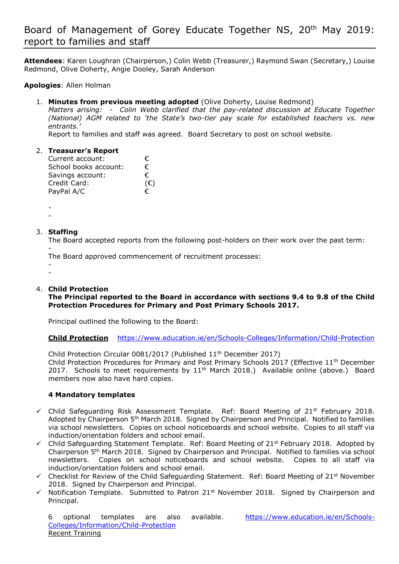# Board of Management of Gorey Educate Together NS, 20th May 2019: report to families and staff

**Attendees**: Karen Loughran (Chairperson,) Colin Webb (Treasurer,) Raymond Swan (Secretary,) Louise Redmond, Olive Doherty, Angie Dooley, Sarah Anderson

**Apologies**: Allen Holman

1. **Minutes from previous meeting adopted** (Olive Doherty, Louise Redmond)

*Matters arising: - Colin Webb clarified that the pay-related discussion at Educate Together (National) AGM related to 'the State's two-tier pay scale for established teachers vs. new entrants.'*

Report to families and staff was agreed. Board Secretary to post on school website.

## 2. **Treasurer's Report**

| Current account:      | €.           |
|-----------------------|--------------|
| School books account: | €            |
| Savings account:      | €            |
| Credit Card:          | $(\epsilon)$ |
| PayPal A/C            | €            |

-

-

# 3. **Staffing**

The Board accepted reports from the following post-holders on their work over the past term: -

The Board approved commencement of recruitment processes:

- -

# 4. **Child Protection**

**The Principal reported to the Board in accordance with sections 9.4 to 9.8 of the Child Protection Procedures for Primary and Post Primary Schools 2017.** 

Principal outlined the following to the Board:

**Child Protection** <https://www.education.ie/en/Schools-Colleges/Information/Child-Protection>

Child Protection Circular 0081/2017 (Published 11<sup>th</sup> December 2017) Child Protection Procedures for Primary and Post Primary Schools 2017 (Effective 11<sup>th</sup> December 2017. Schools to meet requirements by 11<sup>th</sup> March 2018.) Available online (above.) Board members now also have hard copies.

## **4 Mandatory templates**

- $\checkmark$  Child Safeguarding Risk Assessment Template. Ref: Board Meeting of 21st February 2018. Adopted by Chairperson 5<sup>th</sup> March 2018. Signed by Chairperson and Principal. Notified to families via school newsletters. Copies on school noticeboards and school website. Copies to all staff via induction/orientation folders and school email.
- $\checkmark$  Child Safeguarding Statement Template. Ref: Board Meeting of 21<sup>st</sup> February 2018. Adopted by Chairperson 5th March 2018. Signed by Chairperson and Principal. Notified to families via school newsletters. Copies on school noticeboards and school website. Copies to all staff via induction/orientation folders and school email.
- $\checkmark$  Checklist for Review of the Child Safeguarding Statement. Ref: Board Meeting of 21<sup>st</sup> November 2018. Signed by Chairperson and Principal.
- $\checkmark$  Notification Template. Submitted to Patron 21st November 2018. Signed by Chairperson and Principal.

6 optional templates are also available. [https://www.education.ie/en/Schools-](https://www.education.ie/en/Schools-Colleges/Information/Child-Protection)[Colleges/Information/Child-Protection](https://www.education.ie/en/Schools-Colleges/Information/Child-Protection) Recent Training